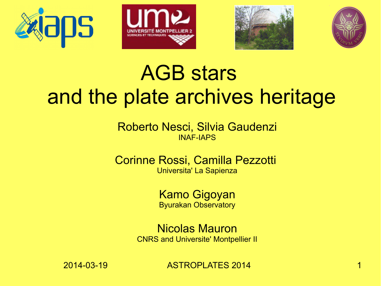







#### AGB stars and the plate archives heritage

Roberto Nesci, Silvia Gaudenzi INAF-IAPS

Corinne Rossi, Camilla Pezzotti Universita' La Sapienza

> Kamo Gigoyan Byurakan Observatory

Nicolas Mauron CNRS and Universite' Montpellier II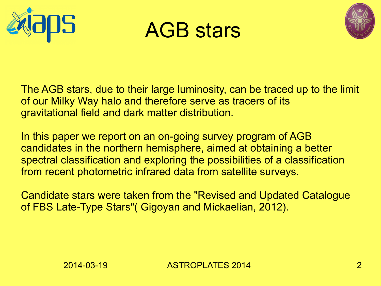





The AGB stars, due to their large luminosity, can be traced up to the limit of our Milky Way halo and therefore serve as tracers of its gravitational field and dark matter distribution.

In this paper we report on an on-going survey program of AGB candidates in the northern hemisphere, aimed at obtaining a better spectral classification and exploring the possibilities of a classification from recent photometric infrared data from satellite surveys.

Candidate stars were taken from the "Revised and Updated Catalogue of FBS Late-Type Stars"( Gigoyan and Mickaelian, 2012).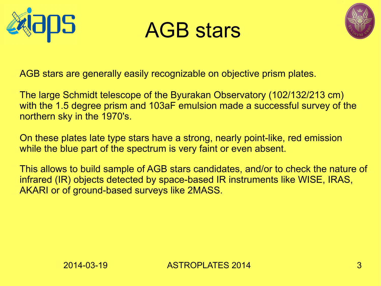





AGB stars are generally easily recognizable on objective prism plates.

The large Schmidt telescope of the Byurakan Observatory (102/132/213 cm) with the 1.5 degree prism and 103aF emulsion made a successful survey of the northern sky in the 1970's.

On these plates late type stars have a strong, nearly point-like, red emission while the blue part of the spectrum is very faint or even absent.

This allows to build sample of AGB stars candidates, and/or to check the nature of infrared (IR) objects detected by space-based IR instruments like WISE, IRAS, AKARI or of ground-based surveys like 2MASS.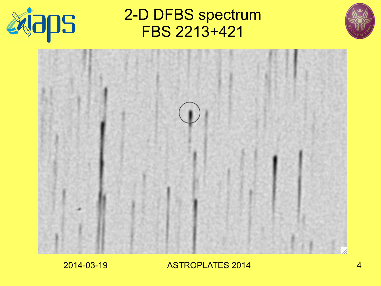

2-D DFBS spectrum FBS 2213+421



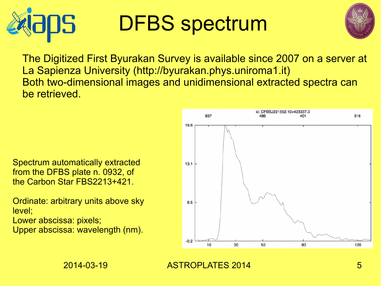

# DFBS spectrum



The Digitized First Byurakan Survey is available since 2007 on a server at La Sapienza University (http://byurakan.phys.uniroma1.it) Both two-dimensional images and unidimensional extracted spectra can be retrieved.

Spectrum automatically extracted from the DFBS plate n. 0932, of the Carbon Star FBS2213+421.

Ordinate: arbitrary units above sky level;

Lower abscissa: pixels;

Upper abscissa: wavelength (nm).

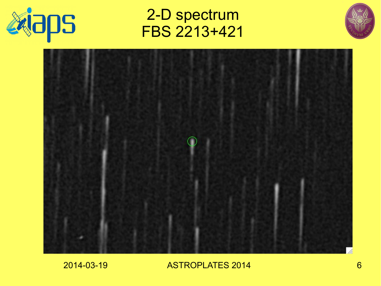

2-D spectrum FBS 2213+421



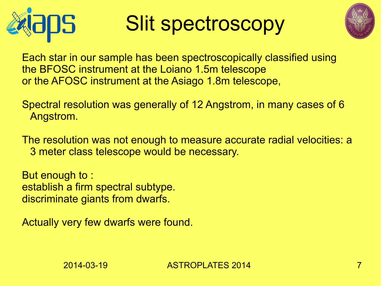

## Slit spectroscopy



Each star in our sample has been spectroscopically classified using the BFOSC instrument at the Loiano 1.5m telescope or the AFOSC instrument at the Asiago 1.8m telescope,

Spectral resolution was generally of 12 Angstrom, in many cases of 6 Angstrom.

The resolution was not enough to measure accurate radial velocities: a 3 meter class telescope would be necessary.

But enough to : establish a firm spectral subtype. discriminate giants from dwarfs.

Actually very few dwarfs were found.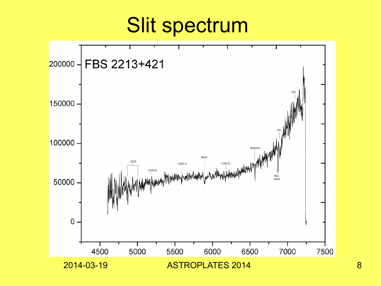#### Slit spectrum

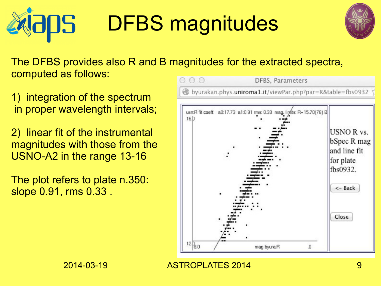#### DFBS magnitudes OS.



The DFBS provides also R and B magnitudes for the extracted spectra, computed as follows:

1) integration of the spectrum in proper wavelength intervals;

2) linear fit of the instrumental magnitudes with those from the USNO-A2 in the range 13-16

The plot refers to plate n.350: slope 0.91, rms 0.33 .

 $00$ **DFBS**, Parameters byurakan.phys.uniroma1.it/viewPar.php?par=R&table=fbs0932 usn:R fit coeff: a0:17.73 a1:0.91 rms: 0.33 mag. linits: R=15.70(78) B  $16h$ **USNO R vs.** bSpec R mag and line fit for plate fbs0932.  $<$  - Back Close  $12.\overline{30}$ mag byura:R J.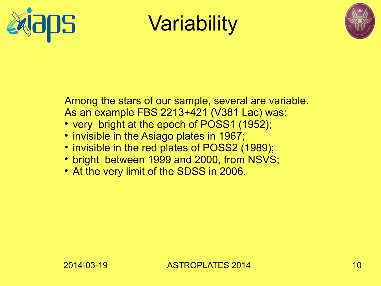



Among the stars of our sample, several are variable. As an example FBS 2213+421 (V381 Lac) was:

- very bright at the epoch of POSS1 (1952);
- invisible in the Asiago plates in 1967;
- invisible in the red plates of POSS2 (1989);
- bright between 1999 and 2000, from NSVS;
- At the very limit of the SDSS in 2006.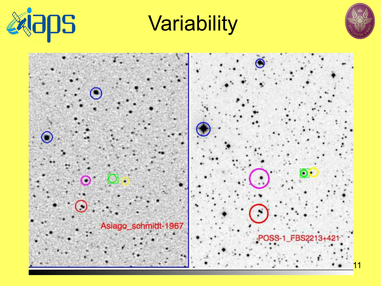



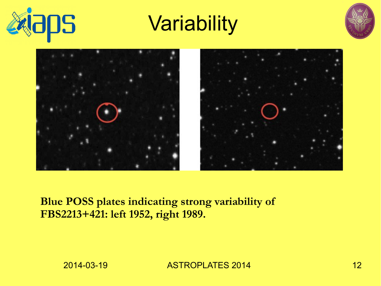





#### **Blue POSS plates indicating strong variability of FBS2213+421: left 1952, right 1989.**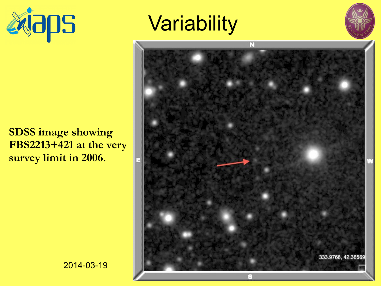



# **SDSS image showing FBS2213+421 at the very**

**survey limit in 2006.**



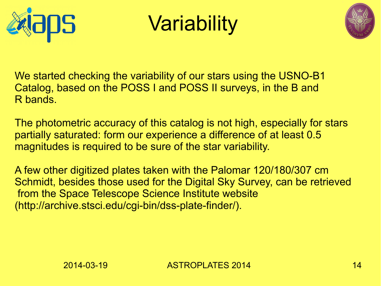

Variability



We started checking the variability of our stars using the USNO-B1 Catalog, based on the POSS I and POSS II surveys, in the B and R bands.

The photometric accuracy of this catalog is not high, especially for stars partially saturated: form our experience a difference of at least 0.5 magnitudes is required to be sure of the star variability.

A few other digitized plates taken with the Palomar 120/180/307 cm Schmidt, besides those used for the Digital Sky Survey, can be retrieved from the Space Telescope Science Institute website (http://archive.stsci.edu/cgi-bin/dss-plate-finder/).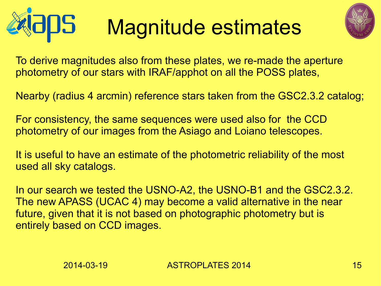#### DS Magnitude estimates



To derive magnitudes also from these plates, we re-made the aperture photometry of our stars with IRAF/apphot on all the POSS plates,

Nearby (radius 4 arcmin) reference stars taken from the GSC2.3.2 catalog;

For consistency, the same sequences were used also for the CCD photometry of our images from the Asiago and Loiano telescopes.

It is useful to have an estimate of the photometric reliability of the most used all sky catalogs.

In our search we tested the USNO-A2, the USNO-B1 and the GSC2.3.2. The new APASS (UCAC 4) may become a valid alternative in the near future, given that it is not based on photographic photometry but is entirely based on CCD images.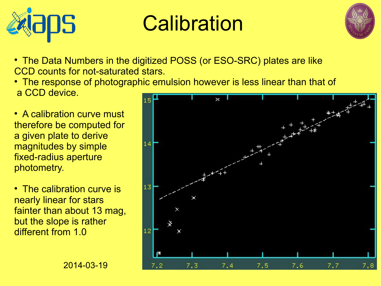

# **Calibration**



- The Data Numbers in the digitized POSS (or ESO-SRC) plates are like CCD counts for not-saturated stars.
- The response of photographic emulsion however is less linear than that of a CCD device.
- A calibration curve must therefore be computed for a given plate to derive magnitudes by simple fixed-radius aperture photometry.
- The calibration curve is nearly linear for stars fainter than about 13 mag, but the slope is rather different from 1.0

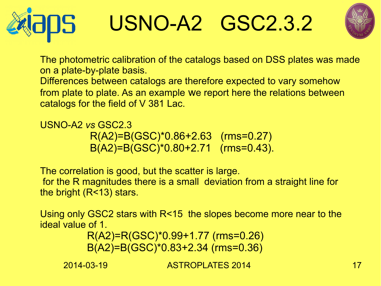





The photometric calibration of the catalogs based on DSS plates was made on a plate-by-plate basis. Differences between catalogs are therefore expected to vary somehow from plate to plate. As an example we report here the relations between catalogs for the field of V 381 Lac.

USNO-A2 *vs* GSC2.3 R(A2)=B(GSC)\*0.86+2.63 (rms=0.27) B(A2)=B(GSC)\*0.80+2.71 (rms=0.43).

The correlation is good, but the scatter is large. for the R magnitudes there is a small deviation from a straight line for the bright (R<13) stars.

Using only GSC2 stars with R<15 the slopes become more near to the ideal value of 1.

 R(A2)=R(GSC)\*0.99+1.77 (rms=0.26) B(A2)=B(GSC)\*0.83+2.34 (rms=0.36)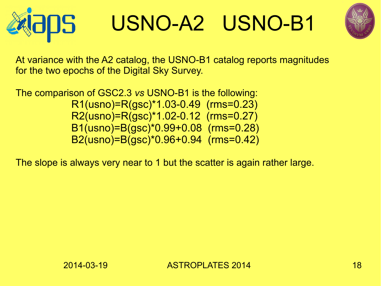

# USNO-A2 USNO-B1



At variance with the A2 catalog, the USNO-B1 catalog reports magnitudes for the two epochs of the Digital Sky Survey.

The comparison of GSC2.3 *vs* USNO-B1 is the following: R1(usno)=R(gsc)\*1.03-0.49 (rms=0.23) R2(usno)=R(gsc)\*1.02-0.12 (rms=0.27) B1(usno)=B(gsc)\*0.99+0.08 (rms=0.28) B2(usno)=B(gsc)\*0.96+0.94 (rms=0.42)

The slope is always very near to 1 but the scatter is again rather large.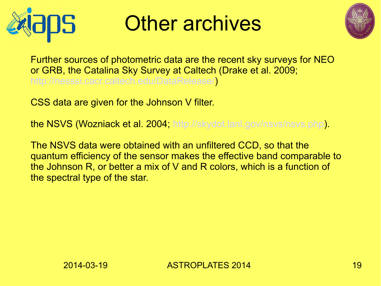

### Other archives



Further sources of photometric data are the recent sky surveys for NEO or GRB, the Catalina Sky Survey at Caltech (Drake et al. 2009; [http://nesssi.cacr.caltech.edu/DataRelease/\)](http://nesssi.cacr.caltech.edu/DataRelease/)

CSS data are given for the Johnson V filter.

the NSVS (Wozniack et al. 2004; <http://skydot.lanl.gov/nsvs/nsvs.php>).

The NSVS data were obtained with an unfiltered CCD, so that the quantum efficiency of the sensor makes the effective band comparable to the Johnson R, or better a mix of V and R colors, which is a function of the spectral type of the star.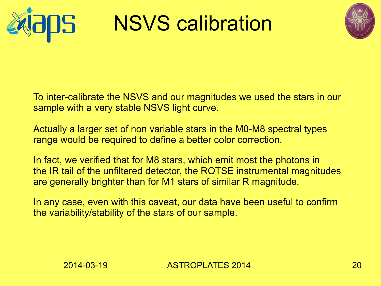

NSVS calibration



To inter-calibrate the NSVS and our magnitudes we used the stars in our sample with a very stable NSVS light curve.

Actually a larger set of non variable stars in the M0-M8 spectral types range would be required to define a better color correction.

In fact, we verified that for M8 stars, which emit most the photons in the IR tail of the unfiltered detector, the ROTSE instrumental magnitudes are generally brighter than for M1 stars of similar R magnitude.

In any case, even with this caveat, our data have been useful to confirm the variability/stability of the stars of our sample.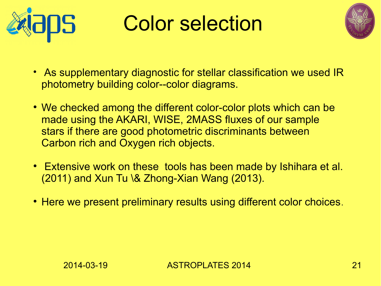

### Color selection



- As supplementary diagnostic for stellar classification we used IR photometry building color--color diagrams.
- We checked among the different color-color plots which can be made using the AKARI, WISE, 2MASS fluxes of our sample stars if there are good photometric discriminants between Carbon rich and Oxygen rich objects.
- Extensive work on these tools has been made by Ishihara et al. (2011) and Xun Tu \& Zhong-Xian Wang (2013).
- Here we present preliminary results using different color choices.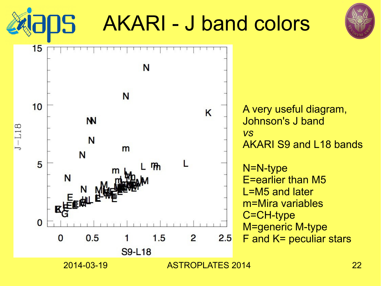5



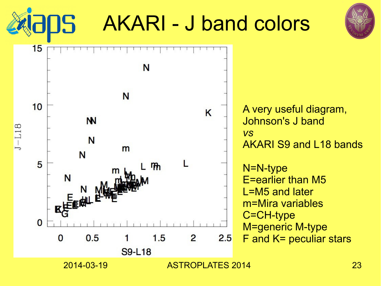5



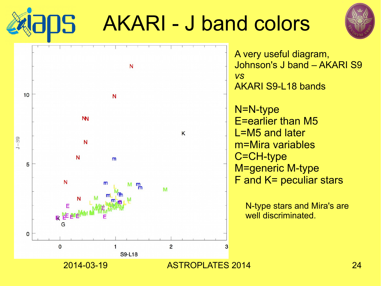

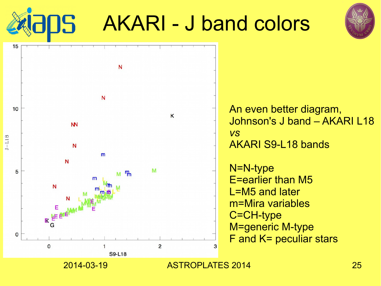



15

An even better diagram, Johnson's J band – AKARI L18 *vs* AKARI S9-L18 bands

N=N-type E=earlier than M5 L=M5 and later m=Mira variables C=CH-type M=generic M-type F and K= peculiar stars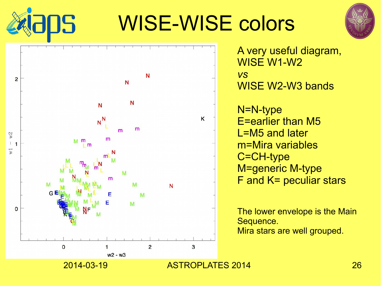# WISE-WISE colors





5

A very useful diagram, WISE W1-W2 *vs* WISE W2-W3 bands

N=N-type E=earlier than M5 L=M5 and later m=Mira variables C=CH-type M=generic M-type F and K= peculiar stars

The lower envelope is the Main Sequence. Mira stars are well grouped.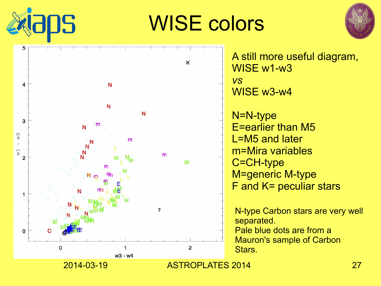

# WISE colors



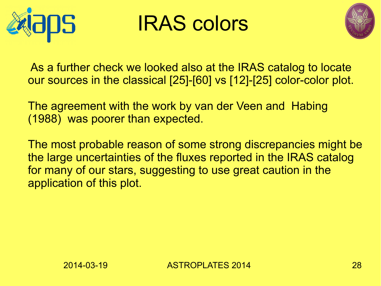

### IRAS colors



As a further check we looked also at the IRAS catalog to locate our sources in the classical [25]-[60] vs [12]-[25] color-color plot.

The agreement with the work by van der Veen and Habing (1988) was poorer than expected.

The most probable reason of some strong discrepancies might be the large uncertainties of the fluxes reported in the IRAS catalog for many of our stars, suggesting to use great caution in the application of this plot.